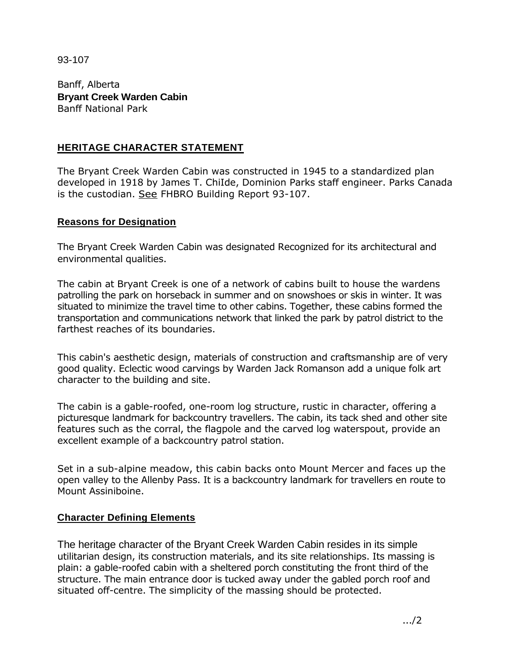93-107

Banff, Alberta **Bryant Creek Warden Cabin**  Banff National Park

## **HERITAGE CHARACTER STATEMENT**

The Bryant Creek Warden Cabin was constructed in 1945 to a standardized plan developed in 1918 by James T. ChiIde, Dominion Parks staff engineer. Parks Canada is the custodian. See FHBRO Building Report 93-107.

## **Reasons for Designation**

The Bryant Creek Warden Cabin was designated Recognized for its architectural and environmental qualities.

The cabin at Bryant Creek is one of a network of cabins built to house the wardens patrolling the park on horseback in summer and on snowshoes or skis in winter. It was situated to minimize the travel time to other cabins. Together, these cabins formed the transportation and communications network that linked the park by patrol district to the farthest reaches of its boundaries.

This cabin's aesthetic design, materials of construction and craftsmanship are of very good quality. Eclectic wood carvings by Warden Jack Romanson add a unique folk art character to the building and site.

The cabin is a gable-roofed, one-room log structure, rustic in character, offering a picturesque landmark for backcountry travellers. The cabin, its tack shed and other site features such as the corral, the flagpole and the carved log waterspout, provide an excellent example of a backcountry patrol station.

Set in a sub-alpine meadow, this cabin backs onto Mount Mercer and faces up the open valley to the Allenby Pass. It is a backcountry landmark for travellers en route to Mount Assiniboine.

## **Character Defining Elements**

The heritage character of the Bryant Creek Warden Cabin resides in its simple utilitarian design, its construction materials, and its site relationships. Its massing is plain: a gable-roofed cabin with a sheltered porch constituting the front third of the structure. The main entrance door is tucked away under the gabled porch roof and situated off-centre. The simplicity of the massing should be protected.